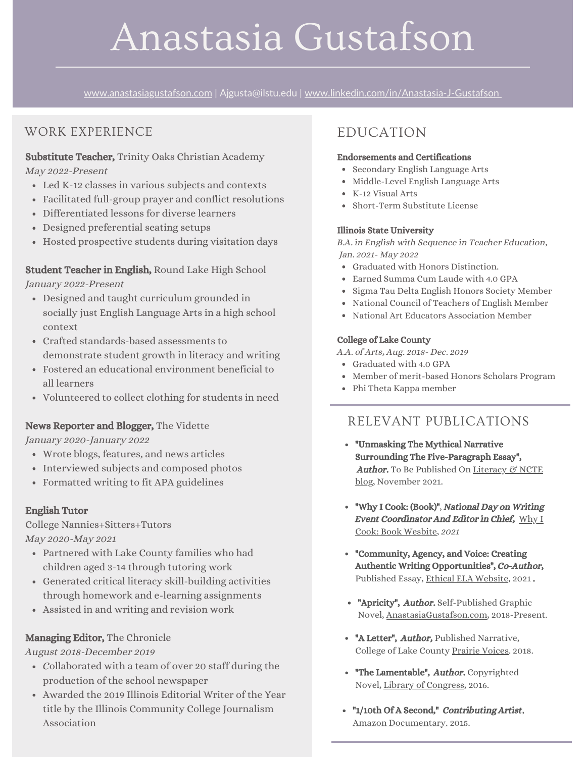# Anastasia Gustafson

[www.anastasiagustafson.com](https://anastasiagustafson.com/) | Ajgusta@ilstu.edu | [www.linkedin.com/in/Anastasia-J-Gustafson](http://www.linkedin.com/in/Anastasia-J-Gustafson)

## WORK EXPERIENCE

#### Substitute Teacher, Trinity Oaks Christian Academy May 2022-Present

- Led K-12 classes in various subjects and contexts
- Facilitated full-group prayer and conflict resolutions
- Differentiated lessons for diverse learners
- Designed preferential seating setups
- Hosted prospective students during visitation days

#### Student Teacher in English, Round Lake High School January 2022-Present

- Designed and taught curriculum grounded in socially just English Language Arts in a high school context
- Crafted standards-based assessments to demonstrate student growth in literacy and writing
- Fostered an educational environment beneficial to all learners
- Volunteered to collect clothing for students in need

#### News Reporter and Blogger, The Vidette

January 2020-January 2022

- Wrote blogs, features, and news articles
- Interviewed subjects and composed photos
- Formatted writing to fit APA guidelines

#### English Tutor

College Nannies+Sitters+Tutors May 2020-May 2021

- Partnered with Lake County families who had children aged 3-14 through tutoring work
- Generated critical literacy skill-building activities through homework and e-learning assignments
- Assisted in and writing and revision work

#### Managing Editor, The Chronicle

August 2018-December 2019

- Collaborated with a team of over 20 staff during the production of the school newspaper
- Awarded the 2019 Illinois Editorial Writer of the Year title by the Illinois Community College Journalism Association

# EDUCATION

#### Endorsements and Certifications

- Secondary English Language Arts
- Middle-Level English Language Arts
- K-12 Visual Arts
- Short-Term Substitute License

#### Illinois State University

B.A. in English with Sequence in Teacher Education, Jan. 2021- May 2022

- Graduated with Honors Distinction.
- Earned Summa Cum Laude with 4.0 GPA
- Sigma Tau Delta English Honors Society Member
- National Council of Teachers of English Member
- National Art Educators Association Member

#### College of Lake County

A.A. of Arts, Aug. 2018- Dec. 2019

- Graduated with 4.0 GPA
- Member of merit-based Honors Scholars Program
- Phi Theta Kappa member

#### RELEVANT PUBLICATIONS

- "Unmasking The Mythical Narrative Surrounding The Five-Paragraph Essay", Author. To Be Published On Literacy & NCTE blog, [November](https://ncte.org/blog/) 2021.
- "Why I Cook: (Book)", National Day on Writing Event [Coordinator](https://sites.google.com/view/nationaldayonwritingcookbook/the-cookbook) And Editor in Chief, Why I Cook: Book Wesbite, 2021
- "Community, Agency, and Voice: Creating Authentic Writing Opportunities", Co-Author, Published Essay, Ethical ELA [Website](http://www.ethicalela.com/national-day-on-writing/), 2021 .
- "Apricity", Author. Self-Published Graphic Novel, [AnastasiaGustafson.com](https://anastasiagustafson.com/apricity-the-comic-a-drafted-1st-chapter), 2018-Present.
- "A Letter", *Author*, Published Narrative, College of Lake County [Prairie](https://www.clcillinois.edu/campus-life/arts/literary-arts/prairie-voices) Voices. 2018.
- "The Lamentable", Author. Copyrighted Novel, Library of [Congress](https://cocatalog.loc.gov/cgi-bin/Pwebrecon.cgi?Search_Arg=Gustafson+Anastasia&Search_Code=NALL&PID=LPyVmmSrrDvpVJRyHWRdqL-d5vkR&SEQ=20211007140519&CNT=25&HIST=1), 2016.
- "1/10th Of A Second," Contributing Artist, Amazon [Documentary.](https://www.imdb.com/name/nm8106300/) 2015.